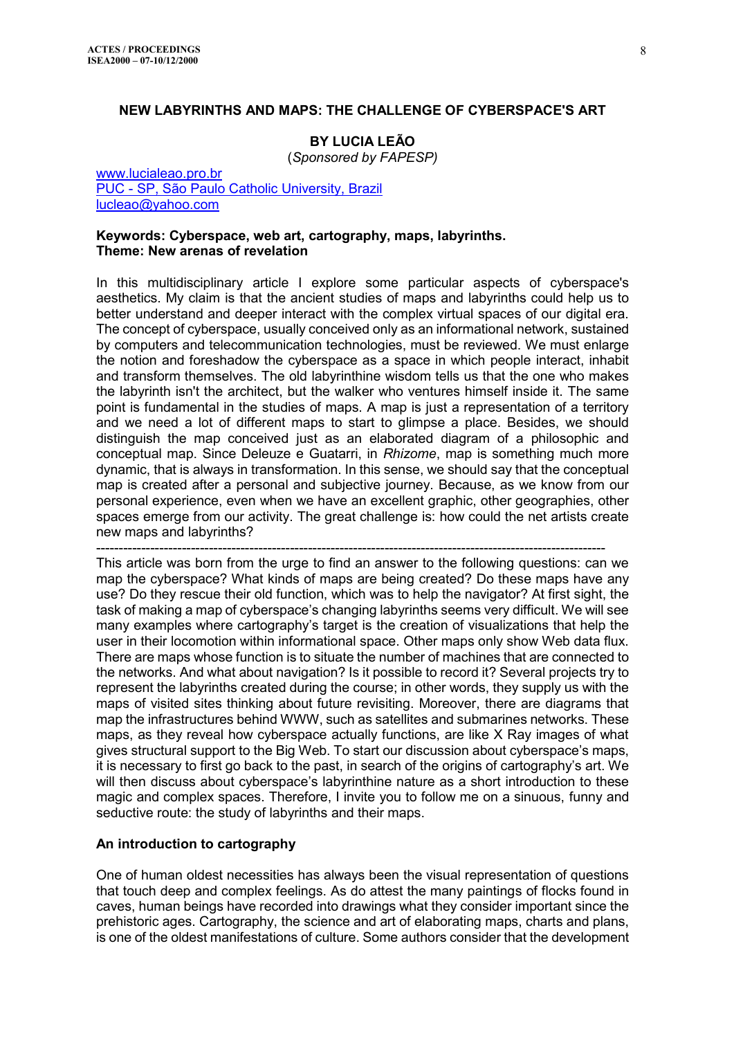### **NEW LABYRINTHS AND MAPS: THE CHALLENGE OF CYBERSPACE'S ART**

# **BY LUCIA LEÃO**

(*Sponsored by FAPESP)*

[www.lucialeao.pro.br](http://www.lucialeao.pro.br/) [PUC - SP, São Paulo Catholic University, Brazil](http://www.pucsp.br/~cos-puc/) [lucleao@yahoo.com](mailto:Lucleao@yahoo.com)

#### **Keywords: Cyberspace, web art, cartography, maps, labyrinths. Theme: New arenas of revelation**

In this multidisciplinary article I explore some particular aspects of cyberspace's aesthetics. My claim is that the ancient studies of maps and labyrinths could help us to better understand and deeper interact with the complex virtual spaces of our digital era. The concept of cyberspace, usually conceived only as an informational network, sustained by computers and telecommunication technologies, must be reviewed. We must enlarge the notion and foreshadow the cyberspace as a space in which people interact, inhabit and transform themselves. The old labyrinthine wisdom tells us that the one who makes the labyrinth isn't the architect, but the walker who ventures himself inside it. The same point is fundamental in the studies of maps. A map is just a representation of a territory and we need a lot of different maps to start to glimpse a place. Besides, we should distinguish the map conceived just as an elaborated diagram of a philosophic and conceptual map. Since Deleuze e Guatarri, in *Rhizome*, map is something much more dynamic, that is always in transformation. In this sense, we should say that the conceptual map is created after a personal and subjective journey. Because, as we know from our personal experience, even when we have an excellent graphic, other geographies, other spaces emerge from our activity. The great challenge is: how could the net artists create new maps and labyrinths?

-----------------------------------------------------------------------------------------------------------------

This article was born from the urge to find an answer to the following questions: can we map the cyberspace? What kinds of maps are being created? Do these maps have any use? Do they rescue their old function, which was to help the navigator? At first sight, the task of making a map of cyberspace's changing labyrinths seems very difficult. We will see many examples where cartography's target is the creation of visualizations that help the user in their locomotion within informational space. Other maps only show Web data flux. There are maps whose function is to situate the number of machines that are connected to the networks. And what about navigation? Is it possible to record it? Several projects try to represent the labyrinths created during the course; in other words, they supply us with the maps of visited sites thinking about future revisiting. Moreover, there are diagrams that map the infrastructures behind WWW, such as satellites and submarines networks. These maps, as they reveal how cyberspace actually functions, are like X Ray images of what gives structural support to the Big Web. To start our discussion about cyberspace's maps, it is necessary to first go back to the past, in search of the origins of cartography's art. We will then discuss about cyberspace's labyrinthine nature as a short introduction to these magic and complex spaces. Therefore, I invite you to follow me on a sinuous, funny and seductive route: the study of labyrinths and their maps.

### **An introduction to cartography**

One of human oldest necessities has always been the visual representation of questions that touch deep and complex feelings. As do attest the many paintings of flocks found in caves, human beings have recorded into drawings what they consider important since the prehistoric ages. Cartography, the science and art of elaborating maps, charts and plans, is one of the oldest manifestations of culture. Some authors consider that the development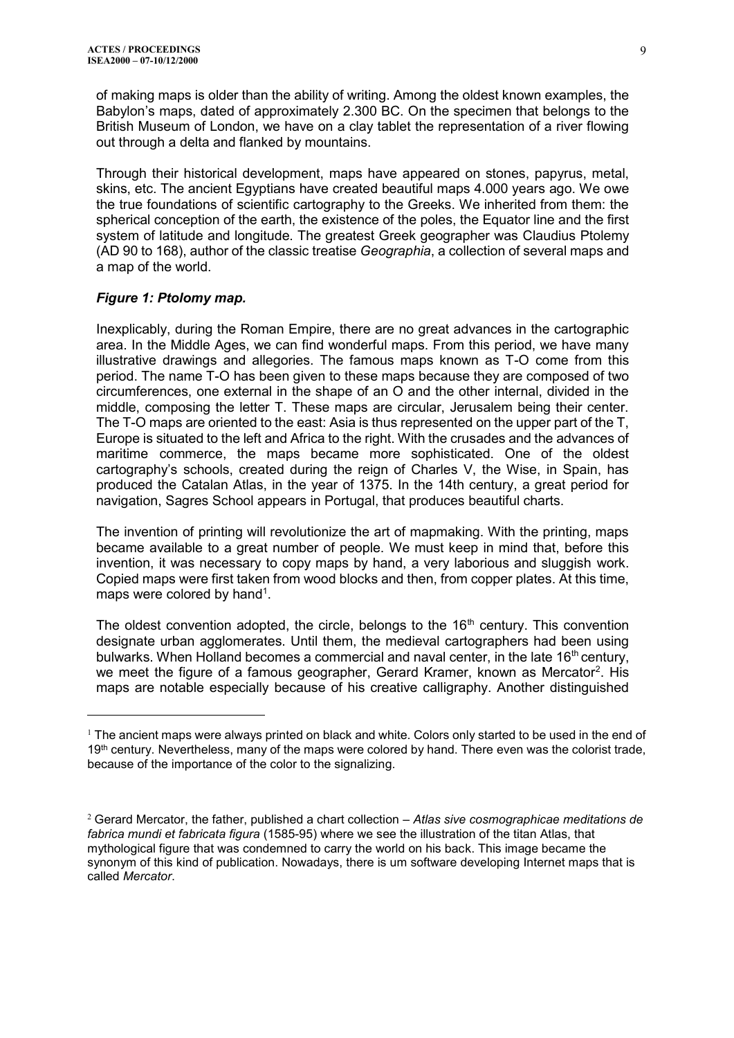of making maps is older than the ability of writing. Among the oldest known examples, the Babylon's maps, dated of approximately 2.300 BC. On the specimen that belongs to the British Museum of London, we have on a clay tablet the representation of a river flowing out through a delta and flanked by mountains.

Through their historical development, maps have appeared on stones, papyrus, metal, skins, etc. The ancient Egyptians have created beautiful maps 4.000 years ago. We owe the true foundations of scientific cartography to the Greeks. We inherited from them: the spherical conception of the earth, the existence of the poles, the Equator line and the first system of latitude and longitude. The greatest Greek geographer was Claudius Ptolemy (AD 90 to 168), author of the classic treatise *Geographia*, a collection of several maps and a map of the world.

### *Figure 1: Ptolomy map.*

 $\overline{a}$ 

Inexplicably, during the Roman Empire, there are no great advances in the cartographic area. In the Middle Ages, we can find wonderful maps. From this period, we have many illustrative drawings and allegories. The famous maps known as T-O come from this period. The name T-O has been given to these maps because they are composed of two circumferences, one external in the shape of an O and the other internal, divided in the middle, composing the letter T. These maps are circular, Jerusalem being their center. The T-O maps are oriented to the east: Asia is thus represented on the upper part of the T, Europe is situated to the left and Africa to the right. With the crusades and the advances of maritime commerce, the maps became more sophisticated. One of the oldest cartography's schools, created during the reign of Charles V, the Wise, in Spain, has produced the Catalan Atlas, in the year of 1375. In the 14th century, a great period for navigation, Sagres School appears in Portugal, that produces beautiful charts.

The invention of printing will revolutionize the art of mapmaking. With the printing, maps became available to a great number of people. We must keep in mind that, before this invention, it was necessary to copy maps by hand, a very laborious and sluggish work. Copied maps were first taken from wood blocks and then, from copper plates. At this time, maps were colored by hand<sup>1</sup>.

The oldest convention adopted, the circle, belongs to the  $16<sup>th</sup>$  century. This convention designate urban agglomerates. Until them, the medieval cartographers had been using bulwarks. When Holland becomes a commercial and naval center, in the late 16<sup>th</sup> century, we meet the figure of a famous geographer, Gerard Kramer, known as Mercator<sup>2</sup>. His maps are notable especially because of his creative calligraphy. Another distinguished

 $1$  The ancient maps were always printed on black and white. Colors only started to be used in the end of 19<sup>th</sup> century. Nevertheless, many of the maps were colored by hand. There even was the colorist trade, because of the importance of the color to the signalizing.

<sup>2</sup> Gerard Mercator, the father, published a chart collection – *Atlas sive cosmographicae meditations de fabrica mundi et fabricata figura* (1585-95) where we see the illustration of the titan Atlas, that mythological figure that was condemned to carry the world on his back. This image became the synonym of this kind of publication. Nowadays, there is um software developing Internet maps that is called *Mercator*.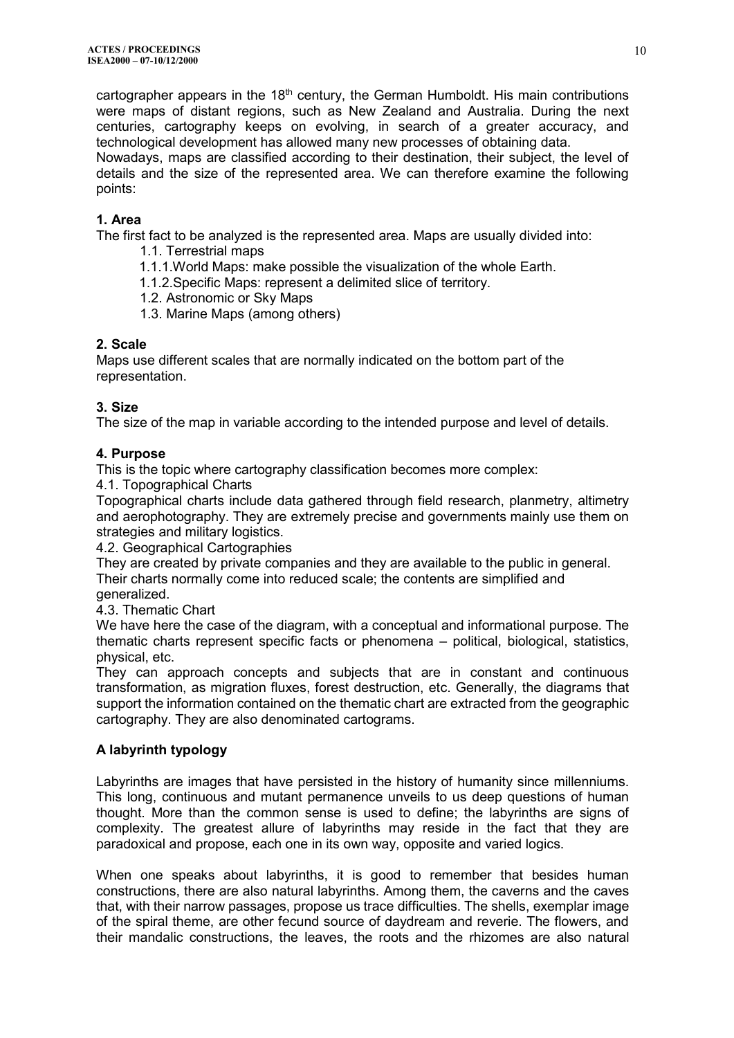cartographer appears in the 18<sup>th</sup> century, the German Humboldt. His main contributions were maps of distant regions, such as New Zealand and Australia. During the next centuries, cartography keeps on evolving, in search of a greater accuracy, and technological development has allowed many new processes of obtaining data.

Nowadays, maps are classified according to their destination, their subject, the level of details and the size of the represented area. We can therefore examine the following points:

# **1. Area**

The first fact to be analyzed is the represented area. Maps are usually divided into:

- 1.1. Terrestrial maps
- 1.1.1.World Maps: make possible the visualization of the whole Earth.
- 1.1.2.Specific Maps: represent a delimited slice of territory.
- 1.2. Astronomic or Sky Maps
- 1.3. Marine Maps (among others)

## **2. Scale**

Maps use different scales that are normally indicated on the bottom part of the representation.

# **3. Size**

The size of the map in variable according to the intended purpose and level of details.

## **4. Purpose**

This is the topic where cartography classification becomes more complex:

4.1. Topographical Charts

Topographical charts include data gathered through field research, planmetry, altimetry and aerophotography. They are extremely precise and governments mainly use them on strategies and military logistics.

4.2. Geographical Cartographies

They are created by private companies and they are available to the public in general. Their charts normally come into reduced scale; the contents are simplified and generalized.

4.3. Thematic Chart

We have here the case of the diagram, with a conceptual and informational purpose. The thematic charts represent specific facts or phenomena – political, biological, statistics, physical, etc.

They can approach concepts and subjects that are in constant and continuous transformation, as migration fluxes, forest destruction, etc. Generally, the diagrams that support the information contained on the thematic chart are extracted from the geographic cartography. They are also denominated cartograms.

# **A labyrinth typology**

Labyrinths are images that have persisted in the history of humanity since millenniums. This long, continuous and mutant permanence unveils to us deep questions of human thought. More than the common sense is used to define; the labyrinths are signs of complexity. The greatest allure of labyrinths may reside in the fact that they are paradoxical and propose, each one in its own way, opposite and varied logics.

When one speaks about labyrinths, it is good to remember that besides human constructions, there are also natural labyrinths. Among them, the caverns and the caves that, with their narrow passages, propose us trace difficulties. The shells, exemplar image of the spiral theme, are other fecund source of daydream and reverie. The flowers, and their mandalic constructions, the leaves, the roots and the rhizomes are also natural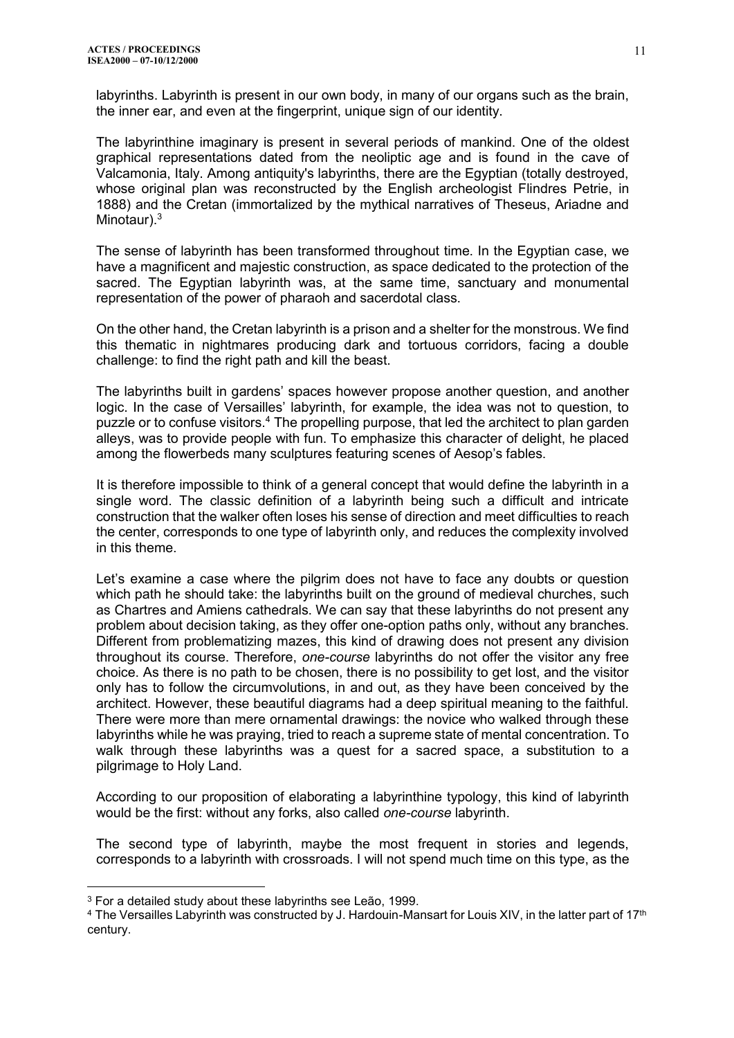labyrinths. Labyrinth is present in our own body, in many of our organs such as the brain, the inner ear, and even at the fingerprint, unique sign of our identity.

The labyrinthine imaginary is present in several periods of mankind. One of the oldest graphical representations dated from the neoliptic age and is found in the cave of Valcamonia, Italy. Among antiquity's labyrinths, there are the Egyptian (totally destroyed, whose original plan was reconstructed by the English archeologist Flindres Petrie, in 1888) and the Cretan (immortalized by the mythical narratives of Theseus, Ariadne and Minotaur).<sup>3</sup>

The sense of labyrinth has been transformed throughout time. In the Egyptian case, we have a magnificent and majestic construction, as space dedicated to the protection of the sacred. The Egyptian labyrinth was, at the same time, sanctuary and monumental representation of the power of pharaoh and sacerdotal class.

On the other hand, the Cretan labyrinth is a prison and a shelter for the monstrous. We find this thematic in nightmares producing dark and tortuous corridors, facing a double challenge: to find the right path and kill the beast.

The labyrinths built in gardens' spaces however propose another question, and another logic. In the case of Versailles' labyrinth, for example, the idea was not to question, to puzzle or to confuse visitors.<sup>4</sup> The propelling purpose, that led the architect to plan garden alleys, was to provide people with fun. To emphasize this character of delight, he placed among the flowerbeds many sculptures featuring scenes of Aesop's fables.

It is therefore impossible to think of a general concept that would define the labyrinth in a single word. The classic definition of a labyrinth being such a difficult and intricate construction that the walker often loses his sense of direction and meet difficulties to reach the center, corresponds to one type of labyrinth only, and reduces the complexity involved in this theme.

Let's examine a case where the pilgrim does not have to face any doubts or question which path he should take: the labyrinths built on the ground of medieval churches, such as Chartres and Amiens cathedrals. We can say that these labyrinths do not present any problem about decision taking, as they offer one-option paths only, without any branches. Different from problematizing mazes, this kind of drawing does not present any division throughout its course. Therefore, *one-course* labyrinths do not offer the visitor any free choice. As there is no path to be chosen, there is no possibility to get lost, and the visitor only has to follow the circumvolutions, in and out, as they have been conceived by the architect. However, these beautiful diagrams had a deep spiritual meaning to the faithful. There were more than mere ornamental drawings: the novice who walked through these labyrinths while he was praying, tried to reach a supreme state of mental concentration. To walk through these labyrinths was a quest for a sacred space, a substitution to a pilgrimage to Holy Land.

According to our proposition of elaborating a labyrinthine typology, this kind of labyrinth would be the first: without any forks, also called *one-course* labyrinth.

The second type of labyrinth, maybe the most frequent in stories and legends, corresponds to a labyrinth with crossroads. I will not spend much time on this type, as the

<sup>3</sup> For a detailed study about these labyrinths see Leão, 1999.

 $^4$  The Versailles Labyrinth was constructed by J. Hardouin-Mansart for Louis XIV, in the latter part of 17th century.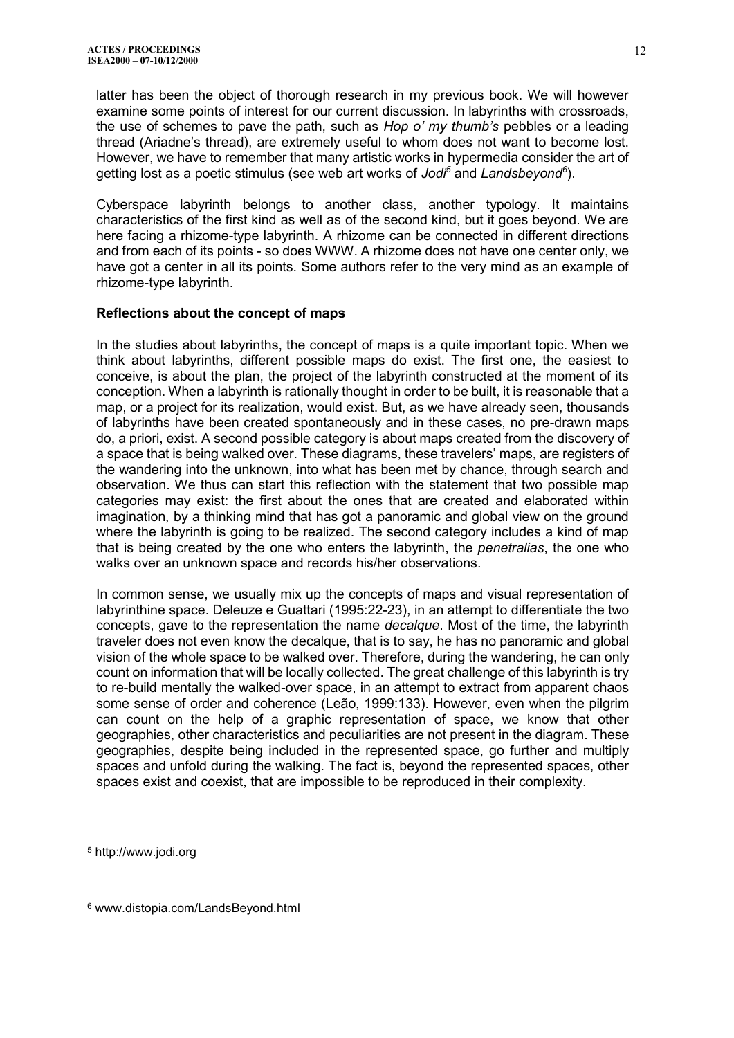latter has been the object of thorough research in my previous book. We will however examine some points of interest for our current discussion. In labyrinths with crossroads, the use of schemes to pave the path, such as *Hop o' my thumb's* pebbles or a leading thread (Ariadne's thread), are extremely useful to whom does not want to become lost. However, we have to remember that many artistic works in hypermedia consider the art of getting lost as a poetic stimulus (see web art works of *Jodi<sup>5</sup>* and *Landsbeyond<sup>6</sup>* ).

Cyberspace labyrinth belongs to another class, another typology. It maintains characteristics of the first kind as well as of the second kind, but it goes beyond. We are here facing a rhizome-type labyrinth. A rhizome can be connected in different directions and from each of its points - so does WWW. A rhizome does not have one center only, we have got a center in all its points. Some authors refer to the very mind as an example of rhizome-type labyrinth.

### **Reflections about the concept of maps**

In the studies about labyrinths, the concept of maps is a quite important topic. When we think about labyrinths, different possible maps do exist. The first one, the easiest to conceive, is about the plan, the project of the labyrinth constructed at the moment of its conception. When a labyrinth is rationally thought in order to be built, it is reasonable that a map, or a project for its realization, would exist. But, as we have already seen, thousands of labyrinths have been created spontaneously and in these cases, no pre-drawn maps do, a priori, exist. A second possible category is about maps created from the discovery of a space that is being walked over. These diagrams, these travelers' maps, are registers of the wandering into the unknown, into what has been met by chance, through search and observation. We thus can start this reflection with the statement that two possible map categories may exist: the first about the ones that are created and elaborated within imagination, by a thinking mind that has got a panoramic and global view on the ground where the labyrinth is going to be realized. The second category includes a kind of map that is being created by the one who enters the labyrinth, the *penetralias*, the one who walks over an unknown space and records his/her observations.

In common sense, we usually mix up the concepts of maps and visual representation of labyrinthine space. Deleuze e Guattari (1995:22-23), in an attempt to differentiate the two concepts, gave to the representation the name *decalque*. Most of the time, the labyrinth traveler does not even know the decalque, that is to say, he has no panoramic and global vision of the whole space to be walked over. Therefore, during the wandering, he can only count on information that will be locally collected. The great challenge of this labyrinth is try to re-build mentally the walked-over space, in an attempt to extract from apparent chaos some sense of order and coherence (Leão, 1999:133). However, even when the pilgrim can count on the help of a graphic representation of space, we know that other geographies, other characteristics and peculiarities are not present in the diagram. These geographies, despite being included in the represented space, go further and multiply spaces and unfold during the walking. The fact is, beyond the represented spaces, other spaces exist and coexist, that are impossible to be reproduced in their complexity.

<sup>5</sup> http://www.jodi.org

<sup>6</sup> www.distopia.com/LandsBeyond.html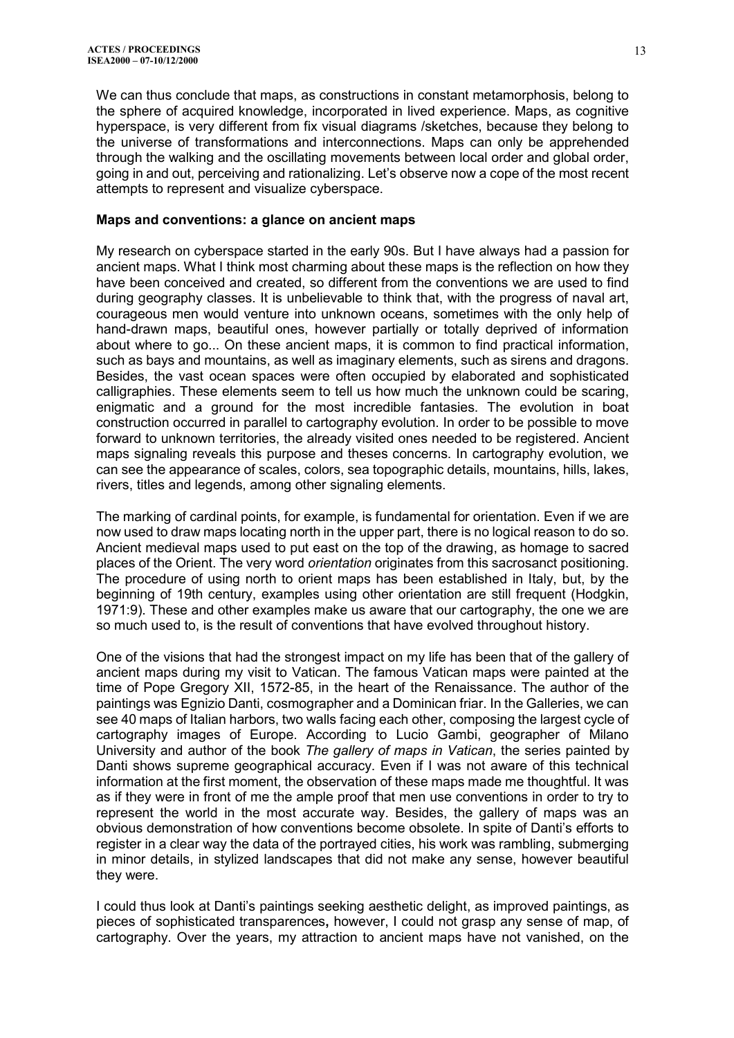We can thus conclude that maps, as constructions in constant metamorphosis, belong to the sphere of acquired knowledge, incorporated in lived experience. Maps, as cognitive hyperspace, is very different from fix visual diagrams /sketches, because they belong to the universe of transformations and interconnections. Maps can only be apprehended through the walking and the oscillating movements between local order and global order, going in and out, perceiving and rationalizing. Let's observe now a cope of the most recent attempts to represent and visualize cyberspace.

#### **Maps and conventions: a glance on ancient maps**

My research on cyberspace started in the early 90s. But I have always had a passion for ancient maps. What I think most charming about these maps is the reflection on how they have been conceived and created, so different from the conventions we are used to find during geography classes. It is unbelievable to think that, with the progress of naval art, courageous men would venture into unknown oceans, sometimes with the only help of hand-drawn maps, beautiful ones, however partially or totally deprived of information about where to go... On these ancient maps, it is common to find practical information, such as bays and mountains, as well as imaginary elements, such as sirens and dragons. Besides, the vast ocean spaces were often occupied by elaborated and sophisticated calligraphies. These elements seem to tell us how much the unknown could be scaring, enigmatic and a ground for the most incredible fantasies. The evolution in boat construction occurred in parallel to cartography evolution. In order to be possible to move forward to unknown territories, the already visited ones needed to be registered. Ancient maps signaling reveals this purpose and theses concerns. In cartography evolution, we can see the appearance of scales, colors, sea topographic details, mountains, hills, lakes, rivers, titles and legends, among other signaling elements.

The marking of cardinal points, for example, is fundamental for orientation. Even if we are now used to draw maps locating north in the upper part, there is no logical reason to do so. Ancient medieval maps used to put east on the top of the drawing, as homage to sacred places of the Orient. The very word *orientation* originates from this sacrosanct positioning. The procedure of using north to orient maps has been established in Italy, but, by the beginning of 19th century, examples using other orientation are still frequent (Hodgkin, 1971:9). These and other examples make us aware that our cartography, the one we are so much used to, is the result of conventions that have evolved throughout history.

One of the visions that had the strongest impact on my life has been that of the gallery of ancient maps during my visit to Vatican. The famous Vatican maps were painted at the time of Pope Gregory XII, 1572-85, in the heart of the Renaissance. The author of the paintings was Egnizio Danti, cosmographer and a Dominican friar. In the Galleries, we can see 40 maps of Italian harbors, two walls facing each other, composing the largest cycle of cartography images of Europe. According to Lucio Gambi, geographer of Milano University and author of the book *The gallery of maps in Vatican*, the series painted by Danti shows supreme geographical accuracy. Even if I was not aware of this technical information at the first moment, the observation of these maps made me thoughtful. It was as if they were in front of me the ample proof that men use conventions in order to try to represent the world in the most accurate way. Besides, the gallery of maps was an obvious demonstration of how conventions become obsolete. In spite of Danti's efforts to register in a clear way the data of the portrayed cities, his work was rambling, submerging in minor details, in stylized landscapes that did not make any sense, however beautiful they were.

I could thus look at Danti's paintings seeking aesthetic delight, as improved paintings, as pieces of sophisticated transparences**,** however, I could not grasp any sense of map, of cartography. Over the years, my attraction to ancient maps have not vanished, on the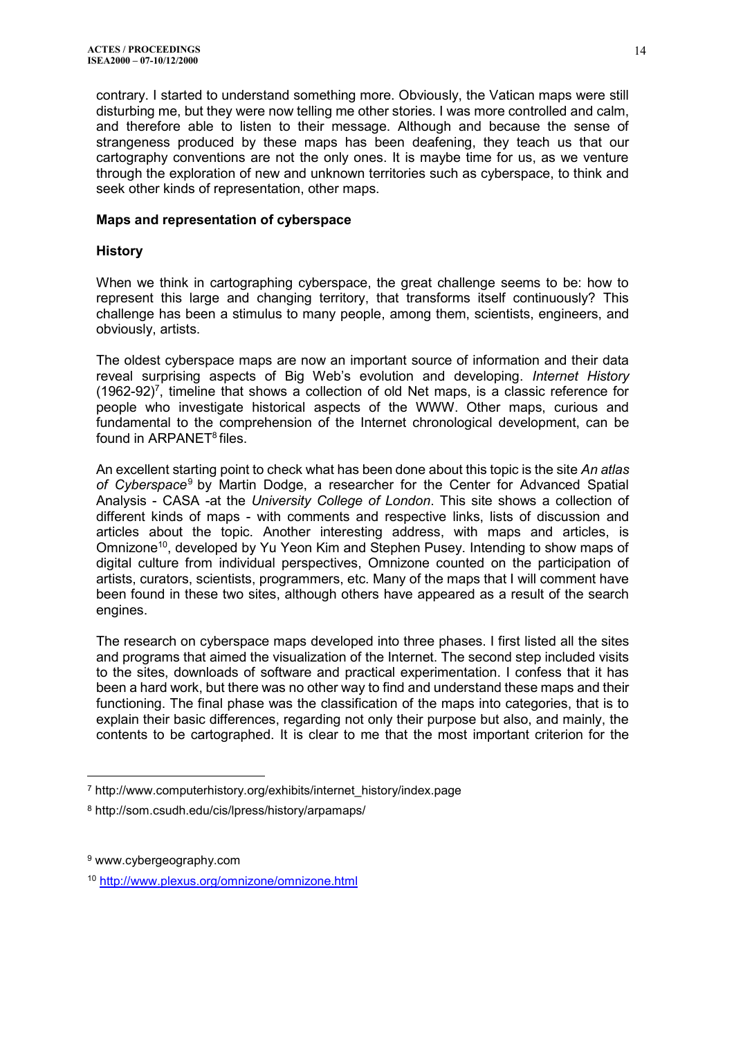contrary. I started to understand something more. Obviously, the Vatican maps were still disturbing me, but they were now telling me other stories. I was more controlled and calm, and therefore able to listen to their message. Although and because the sense of strangeness produced by these maps has been deafening, they teach us that our cartography conventions are not the only ones. It is maybe time for us, as we venture through the exploration of new and unknown territories such as cyberspace, to think and seek other kinds of representation, other maps.

#### **Maps and representation of cyberspace**

#### **History**

When we think in cartographing cyberspace, the great challenge seems to be: how to represent this large and changing territory, that transforms itself continuously? This challenge has been a stimulus to many people, among them, scientists, engineers, and obviously, artists.

The oldest cyberspace maps are now an important source of information and their data reveal surprising aspects of Big Web's evolution and developing. *Internet History*  $(1962-92)^7$ , timeline that shows a collection of old Net maps, is a classic reference for people who investigate historical aspects of the WWW. Other maps, curious and fundamental to the comprehension of the Internet chronological development, can be found in ARPANET<sup>8</sup> files.

An excellent starting point to check what has been done about this topic is the site *An atlas of Cyberspace*<sup>9</sup> by Martin Dodge, a researcher for the Center for Advanced Spatial Analysis - CASA -at the *University College of London*. This site shows a collection of different kinds of maps - with comments and respective links, lists of discussion and articles about the topic. Another interesting address, with maps and articles, is Omnizone<sup>10</sup>, developed by Yu Yeon Kim and Stephen Pusey. Intending to show maps of digital culture from individual perspectives, Omnizone counted on the participation of artists, curators, scientists, programmers, etc. Many of the maps that I will comment have been found in these two sites, although others have appeared as a result of the search engines.

The research on cyberspace maps developed into three phases. I first listed all the sites and programs that aimed the visualization of the Internet. The second step included visits to the sites, downloads of software and practical experimentation. I confess that it has been a hard work, but there was no other way to find and understand these maps and their functioning. The final phase was the classification of the maps into categories, that is to explain their basic differences, regarding not only their purpose but also, and mainly, the contents to be cartographed. It is clear to me that the most important criterion for the

<sup>7</sup> http://www.computerhistory.org/exhibits/internet\_history/index.page

<sup>8</sup> http://som.csudh.edu/cis/lpress/history/arpamaps/

<sup>9</sup> www.cybergeography.com

<sup>10</sup> <http://www.plexus.org/omnizone/omnizone.html>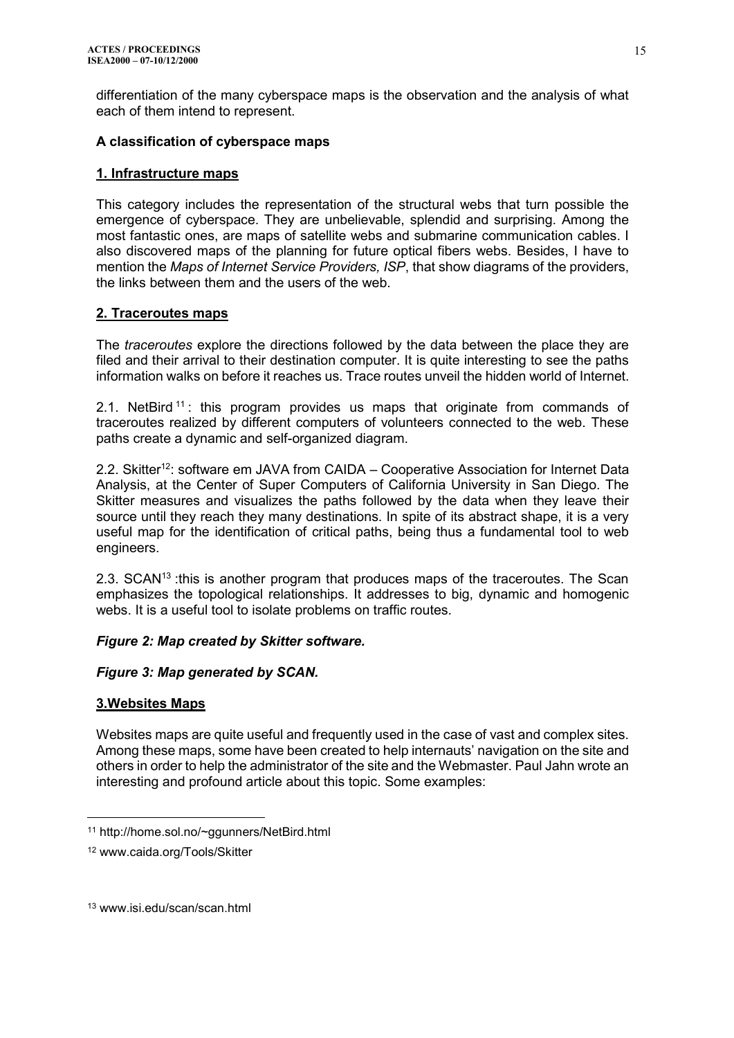differentiation of the many cyberspace maps is the observation and the analysis of what each of them intend to represent.

## **A classification of cyberspace maps**

## **1. Infrastructure maps**

This category includes the representation of the structural webs that turn possible the emergence of cyberspace. They are unbelievable, splendid and surprising. Among the most fantastic ones, are maps of satellite webs and submarine communication cables. I also discovered maps of the planning for future optical fibers webs. Besides, I have to mention the *Maps of Internet Service Providers, ISP*, that show diagrams of the providers, the links between them and the users of the web.

## **2. Traceroutes maps**

The *traceroutes* explore the directions followed by the data between the place they are filed and their arrival to their destination computer. It is quite interesting to see the paths information walks on before it reaches us. Trace routes unveil the hidden world of Internet.

2.1. NetBird <sup>11</sup>: this program provides us maps that originate from commands of traceroutes realized by different computers of volunteers connected to the web. These paths create a dynamic and self-organized diagram.

2.2. Skitter<sup>12</sup>: software em JAVA from CAIDA – Cooperative Association for Internet Data Analysis, at the Center of Super Computers of California University in San Diego. The Skitter measures and visualizes the paths followed by the data when they leave their source until they reach they many destinations. In spite of its abstract shape, it is a very useful map for the identification of critical paths, being thus a fundamental tool to web engineers.

2.3. SCAN<sup>13</sup> :this is another program that produces maps of the traceroutes. The Scan emphasizes the topological relationships. It addresses to big, dynamic and homogenic webs. It is a useful tool to isolate problems on traffic routes.

# *Figure 2: Map created by Skitter software.*

# *Figure 3: Map generated by SCAN.*

### **3.Websites Maps**

 $\overline{a}$ 

Websites maps are quite useful and frequently used in the case of vast and complex sites. Among these maps, some have been created to help internauts' navigation on the site and others in order to help the administrator of the site and the Webmaster. Paul Jahn wrote an interesting and profound article about this topic. Some examples:

<sup>11</sup> http://home.sol.no/~ggunners/NetBird.html

<sup>12</sup> www.caida.org/Tools/Skitter

<sup>13</sup> www.isi.edu/scan/scan.html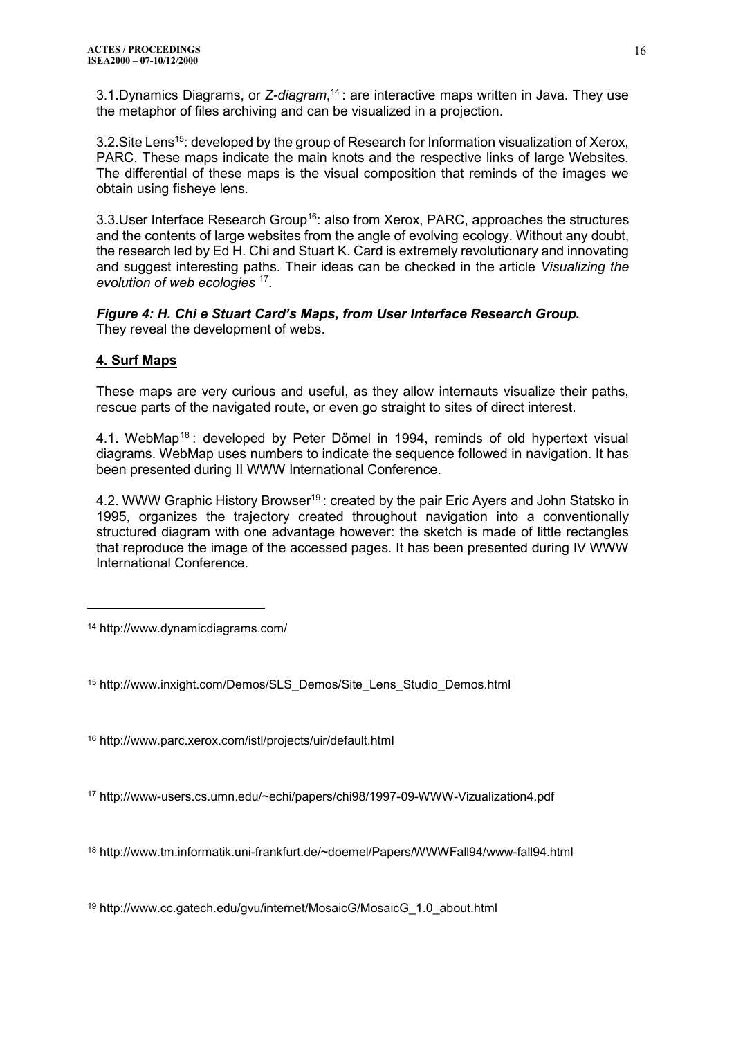3.1.Dynamics Diagrams, or *Z-diagram*, <sup>14</sup> : are interactive maps written in Java. They use the metaphor of files archiving and can be visualized in a projection.

3.2. Site Lens<sup>15</sup>: developed by the group of Research for Information visualization of Xerox, PARC. These maps indicate the main knots and the respective links of large Websites. The differential of these maps is the visual composition that reminds of the images we obtain using fisheye lens.

3.3. User Interface Research Group<sup>16</sup>: also from Xerox, PARC, approaches the structures and the contents of large websites from the angle of evolving ecology. Without any doubt, the research led by Ed H. Chi and Stuart K. Card is extremely revolutionary and innovating and suggest interesting paths. Their ideas can be checked in the article *Visualizing the evolution of web ecologies* <sup>17</sup> .

*Figure 4: H. Chi e Stuart Card's Maps, from User Interface Research Group.* They reveal the development of webs.

# **4. Surf Maps**

 $\overline{a}$ 

These maps are very curious and useful, as they allow internauts visualize their paths, rescue parts of the navigated route, or even go straight to sites of direct interest.

4.1. WebMap<sup>18</sup>: developed by Peter Dömel in 1994, reminds of old hypertext visual diagrams. WebMap uses numbers to indicate the sequence followed in navigation. It has been presented during II WWW International Conference.

4.2. WWW Graphic History Browser<sup>19</sup>: created by the pair Eric Ayers and John Statsko in 1995, organizes the trajectory created throughout navigation into a conventionally structured diagram with one advantage however: the sketch is made of little rectangles that reproduce the image of the accessed pages. It has been presented during IV WWW International Conference.

<sup>14</sup> http://www.dynamicdiagrams.com/

<sup>15</sup> http://www.inxight.com/Demos/SLS\_Demos/Site\_Lens\_Studio\_Demos.html

<sup>16</sup> http://www.parc.xerox.com/istl/projects/uir/default.html

<sup>17</sup> http://www-users.cs.umn.edu/~echi/papers/chi98/1997-09-WWW-Vizualization4.pdf

<sup>18</sup> http://www.tm.informatik.uni-frankfurt.de/~doemel/Papers/WWWFall94/www-fall94.html

<sup>19</sup> http://www.cc.gatech.edu/gvu/internet/MosaicG/MosaicG\_1.0\_about.html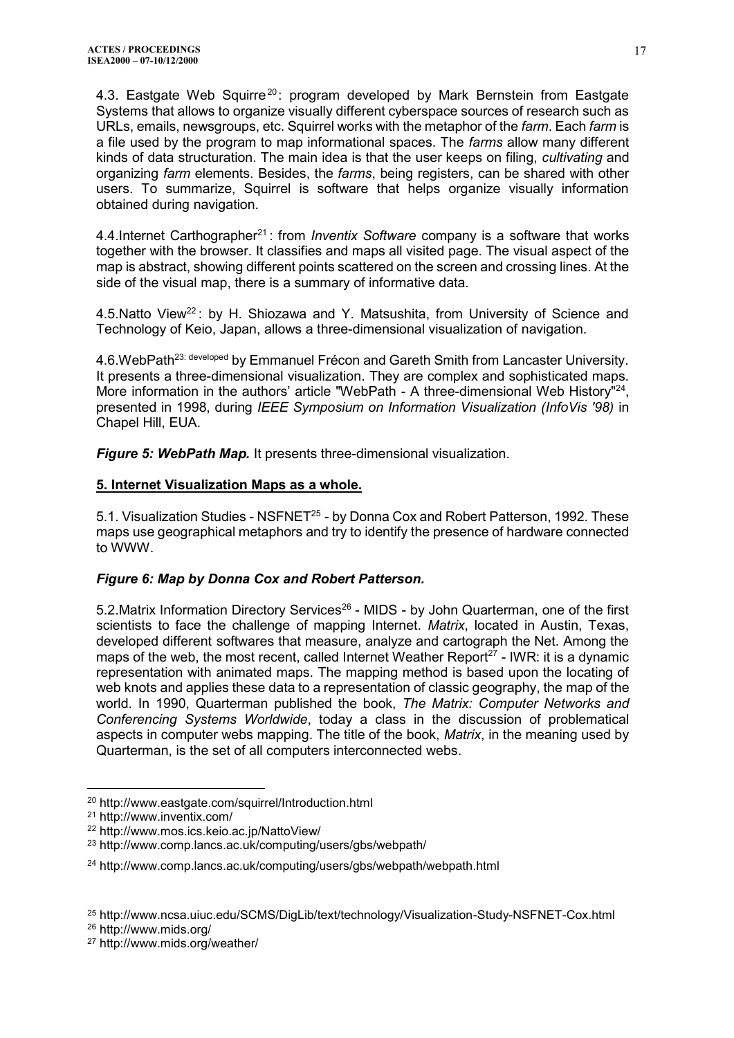4.3. Eastgate Web Squirre<sup>20</sup>: program developed by Mark Bernstein from Eastgate Systems that allows to organize visually different cyberspace sources of research such as URLs, emails, newsgroups, etc. Squirrel works with the metaphor of the *farm*. Each *farm* is a file used by the program to map informational spaces. The *farms* allow many different kinds of data structuration. The main idea is that the user keeps on filing, *cultivating* and organizing *farm* elements. Besides, the *farms*, being registers, can be shared with other users. To summarize, Squirrel is software that helps organize visually information obtained during navigation.

4.4.Internet Carthographer<sup>21</sup>: from *Inventix Software* company is a software that works together with the browser. It classifies and maps all visited page. The visual aspect of the map is abstract, showing different points scattered on the screen and crossing lines. At the side of the visual map, there is a summary of informative data.

4.5.Natto View<sup>22</sup>: by H. Shiozawa and Y. Matsushita, from University of Science and Technology of Keio, Japan, allows a three-dimensional visualization of navigation.

4.6. WebPath<sup>23: developed</sup> by Emmanuel Frécon and Gareth Smith from Lancaster University. It presents a three-dimensional visualization. They are complex and sophisticated maps. More information in the authors' article "WebPath - A three-dimensional Web History"<sup>24</sup>, presented in 1998, during *IEEE Symposium on Information Visualization (InfoVis '98)* in Chapel Hill, EUA.

*Figure 5: WebPath Map.* It presents three-dimensional visualization.

#### **5. Internet Visualization Maps as a whole.**

5.1. Visualization Studies - NSFNET<sup>25</sup> - by Donna Cox and Robert Patterson, 1992. These maps use geographical metaphors and try to identify the presence of hardware connected to WWW.

### *Figure 6: Map by Donna Cox and Robert Patterson.*

5.2. Matrix Information Directory Services<sup>26</sup> - MIDS - by John Quarterman, one of the first scientists to face the challenge of mapping Internet. *Matrix*, located in Austin, Texas, developed different softwares that measure, analyze and cartograph the Net. Among the maps of the web, the most recent, called Internet Weather Report<sup>27</sup> - IWR; it is a dynamic representation with animated maps. The mapping method is based upon the locating of web knots and applies these data to a representation of classic geography, the map of the world. In 1990, Quarterman published the book, *The Matrix: Computer Networks and Conferencing Systems Worldwide*, today a class in the discussion of problematical aspects in computer webs mapping. The title of the book, *Matrix*, in the meaning used by Quarterman, is the set of all computers interconnected webs.

 $\overline{a}$ <sup>20</sup> http://www.eastgate.com/squirrel/Introduction.html

<sup>21</sup> http://www.inventix.com/

<sup>22</sup> http://www.mos.ics.keio.ac.jp/NattoView/

<sup>23</sup> http://www.comp.lancs.ac.uk/computing/users/gbs/webpath/

<sup>24</sup> http://www.comp.lancs.ac.uk/computing/users/gbs/webpath/webpath.html

<sup>25</sup> http://www.ncsa.uiuc.edu/SCMS/DigLib/text/technology/Visualization-Study-NSFNET-Cox.html

<sup>26</sup> http://www.mids.org/

<sup>27</sup> http://www.mids.org/weather/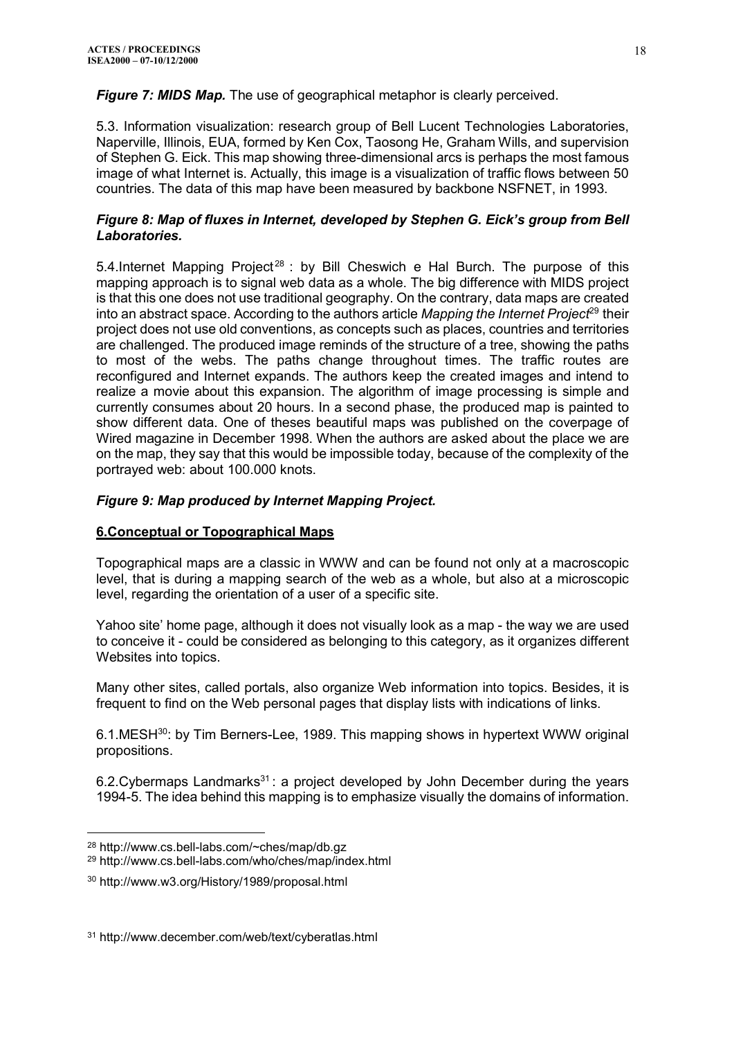*Figure 7: MIDS Map.* The use of geographical metaphor is clearly perceived.

5.3. Information visualization: research group of Bell Lucent Technologies Laboratories, Naperville, Illinois, EUA, formed by Ken Cox, Taosong He, Graham Wills, and supervision of Stephen G. Eick. This map showing three-dimensional arcs is perhaps the most famous image of what Internet is. Actually, this image is a visualization of traffic flows between 50 countries. The data of this map have been measured by backbone NSFNET, in 1993.

## *Figure 8: Map of fluxes in Internet, developed by Stephen G. Eick's group from Bell Laboratories.*

5.4. Internet Mapping Project<sup>28</sup> : by Bill Cheswich e Hal Burch. The purpose of this mapping approach is to signal web data as a whole. The big difference with MIDS project is that this one does not use traditional geography. On the contrary, data maps are created into an abstract space. According to the authors article *Mapping the Internet Project*<sup>29</sup> their project does not use old conventions, as concepts such as places, countries and territories are challenged. The produced image reminds of the structure of a tree, showing the paths to most of the webs. The paths change throughout times. The traffic routes are reconfigured and Internet expands. The authors keep the created images and intend to realize a movie about this expansion. The algorithm of image processing is simple and currently consumes about 20 hours. In a second phase, the produced map is painted to show different data. One of theses beautiful maps was published on the coverpage of Wired magazine in December 1998. When the authors are asked about the place we are on the map, they say that this would be impossible today, because of the complexity of the portrayed web: about 100.000 knots.

# *Figure 9: Map produced by Internet Mapping Project.*

### **6.Conceptual or Topographical Maps**

Topographical maps are a classic in WWW and can be found not only at a macroscopic level, that is during a mapping search of the web as a whole, but also at a microscopic level, regarding the orientation of a user of a specific site.

Yahoo site' home page, although it does not visually look as a map - the way we are used to conceive it - could be considered as belonging to this category, as it organizes different Websites into topics.

Many other sites, called portals, also organize Web information into topics. Besides, it is frequent to find on the Web personal pages that display lists with indications of links.

6.1.MESH<sup>30</sup>: by Tim Berners-Lee, 1989. This mapping shows in hypertext WWW original propositions.

6.2. Cybermaps Landmarks<sup>31</sup>: a project developed by John December during the years 1994-5. The idea behind this mapping is to emphasize visually the domains of information.

<sup>28</sup> http://www.cs.bell-labs.com/~ches/map/db.gz

<sup>29</sup> http://www.cs.bell-labs.com/who/ches/map/index.html

<sup>30</sup> http://www.w3.org/History/1989/proposal.html

<sup>31</sup> http://www.december.com/web/text/cyberatlas.html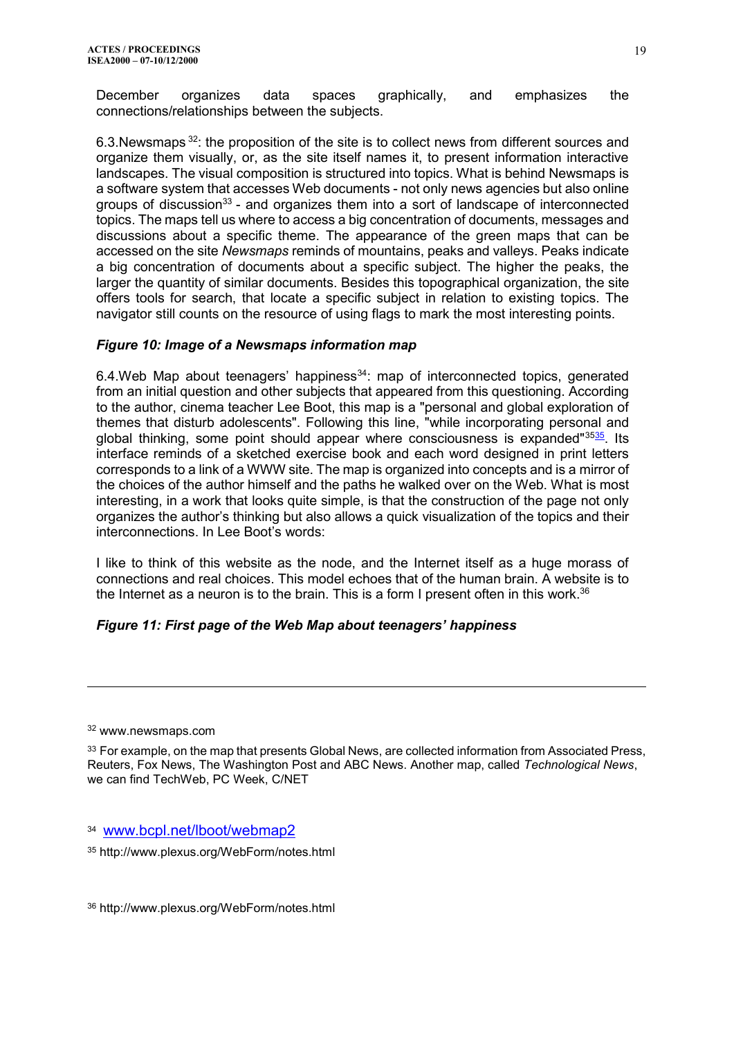December organizes data spaces graphically, and emphasizes the connections/relationships between the subjects.

6.3.Newsmaps <sup>32</sup>: the proposition of the site is to collect news from different sources and organize them visually, or, as the site itself names it, to present information interactive landscapes. The visual composition is structured into topics. What is behind Newsmaps is a software system that accesses Web documents - not only news agencies but also online groups of discussion<sup>33</sup> - and organizes them into a sort of landscape of interconnected topics. The maps tell us where to access a big concentration of documents, messages and discussions about a specific theme. The appearance of the green maps that can be accessed on the site *Newsmaps* reminds of mountains, peaks and valleys. Peaks indicate a big concentration of documents about a specific subject. The higher the peaks, the larger the quantity of similar documents. Besides this topographical organization, the site offers tools for search, that locate a specific subject in relation to existing topics. The navigator still counts on the resource of using flags to mark the most interesting points.

### *Figure 10: Image of a Newsmaps information map*

6.4. Web Map about teenagers' happiness<sup>34</sup>: map of interconnected topics, generated from an initial question and other subjects that appeared from this questioning. According to the author, cinema teacher Lee Boot, this map is a "personal and global exploration of themes that disturb adolescents". Following this line, "while incorporating personal and global thinking, some point should appear where consciousness is expanded<sup>"3[535](http://us.f5.mail.yahoo.com/ym/#FNote23)</sup>. Its interface reminds of a sketched exercise book and each word designed in print letters corresponds to a link of a WWW site. The map is organized into concepts and is a mirror of the choices of the author himself and the paths he walked over on the Web. What is most interesting, in a work that looks quite simple, is that the construction of the page not only organizes the author's thinking but also allows a quick visualization of the topics and their interconnections. In Lee Boot's words:

I like to think of this website as the node, and the Internet itself as a huge morass of connections and real choices. This model echoes that of the human brain. A website is to the Internet as a neuron is to the brain. This is a form I present often in this work. $36$ 

# *Figure 11: First page of the Web Map about teenagers' happiness*

<sup>32</sup> www.newsmaps.com

 $\overline{a}$ 

<sup>33</sup> For example, on the map that presents Global News, are collected information from Associated Press, Reuters, Fox News, The Washington Post and ABC News. Another map, called *Technological News*, we can find TechWeb, PC Week, C/NET

34 [www.bcpl.net/lboot/webmap2](http://www.bcpl.net/lboot/webmap2)

<sup>35</sup> http://www.plexus.org/WebForm/notes.html

<sup>36</sup> http://www.plexus.org/WebForm/notes.html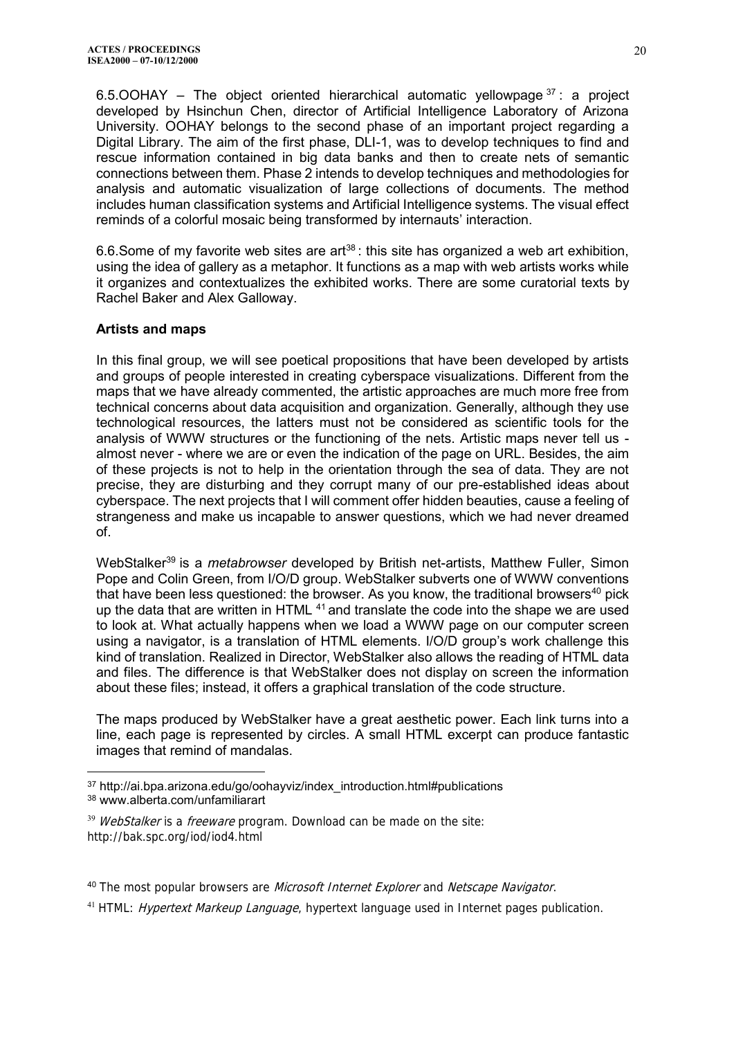6.5.OOHAY – The object oriented hierarchical automatic yellowpage  $37$ : a project developed by Hsinchun Chen, director of Artificial Intelligence Laboratory of Arizona University. OOHAY belongs to the second phase of an important project regarding a Digital Library. The aim of the first phase, DLI-1, was to develop techniques to find and rescue information contained in big data banks and then to create nets of semantic connections between them. Phase 2 intends to develop techniques and methodologies for analysis and automatic visualization of large collections of documents. The method includes human classification systems and Artificial Intelligence systems. The visual effect reminds of a colorful mosaic being transformed by internauts' interaction.

6.6. Some of my favorite web sites are art<sup>38</sup>: this site has organized a web art exhibition, using the idea of gallery as a metaphor. It functions as a map with web artists works while it organizes and contextualizes the exhibited works. There are some curatorial texts by Rachel Baker and Alex Galloway.

## **Artists and maps**

 $\overline{a}$ 

In this final group, we will see poetical propositions that have been developed by artists and groups of people interested in creating cyberspace visualizations. Different from the maps that we have already commented, the artistic approaches are much more free from technical concerns about data acquisition and organization. Generally, although they use technological resources, the latters must not be considered as scientific tools for the analysis of WWW structures or the functioning of the nets. Artistic maps never tell us almost never - where we are or even the indication of the page on URL. Besides, the aim of these projects is not to help in the orientation through the sea of data. They are not precise, they are disturbing and they corrupt many of our pre-established ideas about cyberspace. The next projects that I will comment offer hidden beauties, cause a feeling of strangeness and make us incapable to answer questions, which we had never dreamed of.

WebStalker<sup>39</sup> is a *metabrowser* developed by British net-artists, Matthew Fuller, Simon Pope and Colin Green, from I/O/D group. WebStalker subverts one of WWW conventions that have been less questioned: the browser. As you know, the traditional browsers<sup>40</sup> pick up the data that are written in HTML  $41$  and translate the code into the shape we are used to look at. What actually happens when we load a WWW page on our computer screen using a navigator, is a translation of HTML elements. I/O/D group's work challenge this kind of translation. Realized in Director, WebStalker also allows the reading of HTML data and files. The difference is that WebStalker does not display on screen the information about these files; instead, it offers a graphical translation of the code structure.

The maps produced by WebStalker have a great aesthetic power. Each link turns into a line, each page is represented by circles. A small HTML excerpt can produce fantastic images that remind of mandalas.

<sup>37</sup> http://ai.bpa.arizona.edu/go/oohayviz/index introduction.html#publications <sup>38</sup> www.alberta.com/unfamiliarart

<sup>&</sup>lt;sup>39</sup> WebStalker is a freeware program. Download can be made on the site: http://bak.spc.org/iod/iod4.html

<sup>40</sup> The most popular browsers are *Microsoft Internet Explorer* and *Netscape Navigator*.

<sup>&</sup>lt;sup>41</sup> HTML: *Hypertext Markeup Language*, hypertext language used in Internet pages publication.